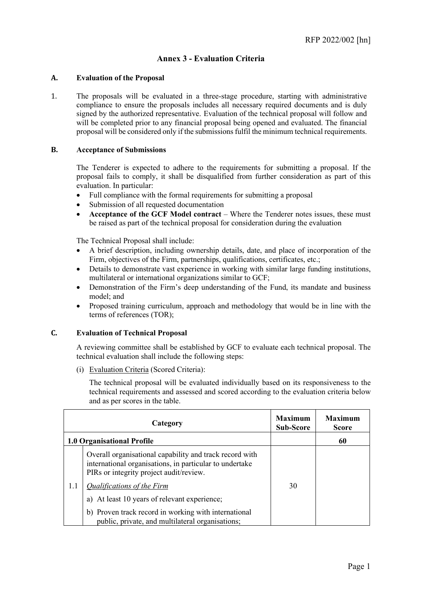# **Annex 3 - Evaluation Criteria**

#### **A. Evaluation of the Proposal**

1. The proposals will be evaluated in a three-stage procedure, starting with administrative compliance to ensure the proposals includes all necessary required documents and is duly signed by the authorized representative. Evaluation of the technical proposal will follow and will be completed prior to any financial proposal being opened and evaluated. The financial proposal will be considered only if the submissions fulfil the minimum technical requirements.

#### **B. Acceptance of Submissions**

The Tenderer is expected to adhere to the requirements for submitting a proposal. If the proposal fails to comply, it shall be disqualified from further consideration as part of this evaluation. In particular:

- Full compliance with the formal requirements for submitting a proposal
- Submission of all requested documentation
- **Acceptance of the GCF Model contract** Where the Tenderer notes issues, these must be raised as part of the technical proposal for consideration during the evaluation

The Technical Proposal shall include:

- A brief description, including ownership details, date, and place of incorporation of the Firm, objectives of the Firm, partnerships, qualifications, certificates, etc.;
- Details to demonstrate vast experience in working with similar large funding institutions, multilateral or international organizations similar to GCF;
- Demonstration of the Firm's deep understanding of the Fund, its mandate and business model; and
- Proposed training curriculum, approach and methodology that would be in line with the terms of references (TOR);

#### **C. Evaluation of Technical Proposal**

A reviewing committee shall be established by GCF to evaluate each technical proposal. The technical evaluation shall include the following steps:

(i) Evaluation Criteria (Scored Criteria):

The technical proposal will be evaluated individually based on its responsiveness to the technical requirements and assessed and scored according to the evaluation criteria below and as per scores in the table.

|     | Category                                                                                                                                                      | <b>Maximum</b><br><b>Sub-Score</b> | <b>Maximum</b><br><b>Score</b> |
|-----|---------------------------------------------------------------------------------------------------------------------------------------------------------------|------------------------------------|--------------------------------|
|     | <b>1.0 Organisational Profile</b>                                                                                                                             |                                    | 60                             |
|     | Overall organisational capability and track record with<br>international organisations, in particular to undertake<br>PIRs or integrity project audit/review. |                                    |                                |
| 1.1 | <b>Qualifications of the Firm</b>                                                                                                                             | 30                                 |                                |
|     | a) At least 10 years of relevant experience;                                                                                                                  |                                    |                                |
|     | b) Proven track record in working with international<br>public, private, and multilateral organisations;                                                      |                                    |                                |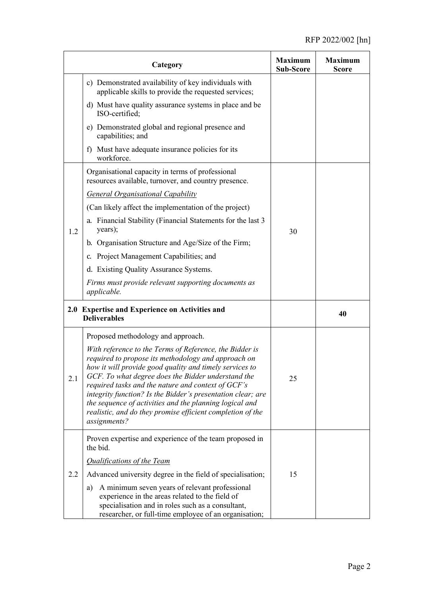|     | Category                                                                                                                                                                                                                                                                                                                                                                                                                                                                                      | <b>Maximum</b><br><b>Sub-Score</b> | <b>Maximum</b><br>Score |
|-----|-----------------------------------------------------------------------------------------------------------------------------------------------------------------------------------------------------------------------------------------------------------------------------------------------------------------------------------------------------------------------------------------------------------------------------------------------------------------------------------------------|------------------------------------|-------------------------|
|     | c) Demonstrated availability of key individuals with<br>applicable skills to provide the requested services;                                                                                                                                                                                                                                                                                                                                                                                  |                                    |                         |
|     | d) Must have quality assurance systems in place and be<br>ISO-certified;                                                                                                                                                                                                                                                                                                                                                                                                                      |                                    |                         |
|     | e) Demonstrated global and regional presence and<br>capabilities; and                                                                                                                                                                                                                                                                                                                                                                                                                         |                                    |                         |
|     | Must have adequate insurance policies for its<br>f)<br>workforce.                                                                                                                                                                                                                                                                                                                                                                                                                             |                                    |                         |
|     | Organisational capacity in terms of professional<br>resources available, turnover, and country presence.                                                                                                                                                                                                                                                                                                                                                                                      | 30                                 |                         |
|     | <b>General Organisational Capability</b>                                                                                                                                                                                                                                                                                                                                                                                                                                                      |                                    |                         |
|     | (Can likely affect the implementation of the project)                                                                                                                                                                                                                                                                                                                                                                                                                                         |                                    |                         |
| 1.2 | a. Financial Stability (Financial Statements for the last 3<br>years);                                                                                                                                                                                                                                                                                                                                                                                                                        |                                    |                         |
|     | b. Organisation Structure and Age/Size of the Firm;                                                                                                                                                                                                                                                                                                                                                                                                                                           |                                    |                         |
|     | c. Project Management Capabilities; and                                                                                                                                                                                                                                                                                                                                                                                                                                                       |                                    |                         |
|     | d. Existing Quality Assurance Systems.                                                                                                                                                                                                                                                                                                                                                                                                                                                        |                                    |                         |
|     | Firms must provide relevant supporting documents as<br>applicable.                                                                                                                                                                                                                                                                                                                                                                                                                            |                                    |                         |
|     | 2.0 Expertise and Experience on Activities and<br><b>Deliverables</b>                                                                                                                                                                                                                                                                                                                                                                                                                         |                                    | 40                      |
| 2.1 | Proposed methodology and approach.                                                                                                                                                                                                                                                                                                                                                                                                                                                            |                                    |                         |
|     | With reference to the Terms of Reference, the Bidder is<br>required to propose its methodology and approach on<br>how it will provide good quality and timely services to<br>GCF. To what degree does the Bidder understand the<br>required tasks and the nature and context of GCF's<br>integrity function? Is the Bidder's presentation clear; are<br>the sequence of activities and the planning logical and<br>realistic, and do they promise efficient completion of the<br>assignments? | 25                                 |                         |
| 2.2 | Proven expertise and experience of the team proposed in<br>the bid.                                                                                                                                                                                                                                                                                                                                                                                                                           |                                    |                         |
|     | <b>Qualifications of the Team</b>                                                                                                                                                                                                                                                                                                                                                                                                                                                             |                                    |                         |
|     | Advanced university degree in the field of specialisation;                                                                                                                                                                                                                                                                                                                                                                                                                                    | 15                                 |                         |
|     | A minimum seven years of relevant professional<br>a)<br>experience in the areas related to the field of<br>specialisation and in roles such as a consultant,<br>researcher, or full-time employee of an organisation;                                                                                                                                                                                                                                                                         |                                    |                         |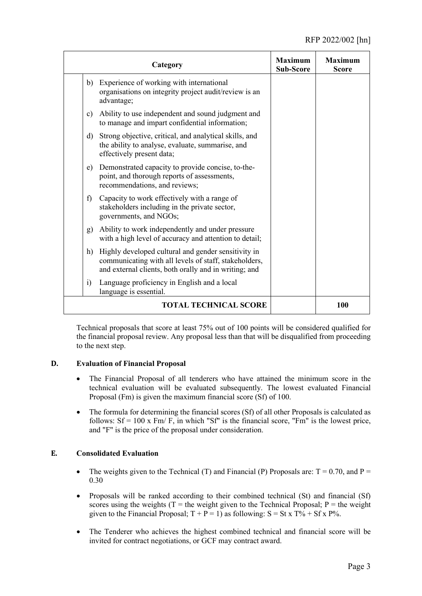| Category                                                                                                                                                                    | <b>Maximum</b><br><b>Sub-Score</b> | <b>Maximum</b><br><b>Score</b> |
|-----------------------------------------------------------------------------------------------------------------------------------------------------------------------------|------------------------------------|--------------------------------|
| Experience of working with international<br>b)<br>organisations on integrity project audit/review is an<br>advantage;                                                       |                                    |                                |
| Ability to use independent and sound judgment and<br>c)<br>to manage and impart confidential information;                                                                   |                                    |                                |
| Strong objective, critical, and analytical skills, and<br>d)<br>the ability to analyse, evaluate, summarise, and<br>effectively present data;                               |                                    |                                |
| Demonstrated capacity to provide concise, to-the-<br>e)<br>point, and thorough reports of assessments,<br>recommendations, and reviews;                                     |                                    |                                |
| Capacity to work effectively with a range of<br>$\mathbf{f}$<br>stakeholders including in the private sector,<br>governments, and NGOs;                                     |                                    |                                |
| Ability to work independently and under pressure<br>g)<br>with a high level of accuracy and attention to detail;                                                            |                                    |                                |
| h)<br>Highly developed cultural and gender sensitivity in<br>communicating with all levels of staff, stakeholders,<br>and external clients, both orally and in writing; and |                                    |                                |
| Language proficiency in English and a local<br>$\ddot{i}$<br>language is essential.                                                                                         |                                    |                                |
| <b>TOTAL TECHNICAL SCORE</b>                                                                                                                                                |                                    | 100                            |

Technical proposals that score at least 75% out of 100 points will be considered qualified for the financial proposal review. Any proposal less than that will be disqualified from proceeding to the next step.

## **D. Evaluation of Financial Proposal**

- The Financial Proposal of all tenderers who have attained the minimum score in the technical evaluation will be evaluated subsequently. The lowest evaluated Financial Proposal (Fm) is given the maximum financial score (Sf) of 100.
- The formula for determining the financial scores (Sf) of all other Proposals is calculated as follows:  $Sf = 100 \text{ x Fm/F}$ , in which "Sf" is the financial score, "Fm" is the lowest price, and "F" is the price of the proposal under consideration.

## **E. Consolidated Evaluation**

- The weights given to the Technical (T) and Financial (P) Proposals are:  $T = 0.70$ , and  $P =$ 0.30
- Proposals will be ranked according to their combined technical (St) and financial (Sf) scores using the weights (T = the weight given to the Technical Proposal;  $P =$  the weight given to the Financial Proposal;  $T + P = 1$ ) as following:  $S = St x T\% + Sf x P\%$ .
- The Tenderer who achieves the highest combined technical and financial score will be invited for contract negotiations, or GCF may contract award.